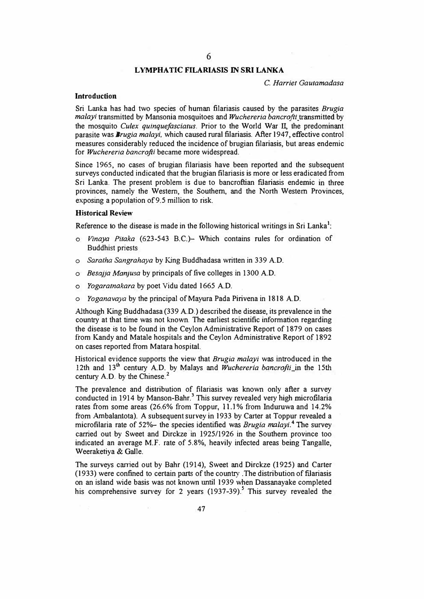## **LYMPHATIC FILARIASIS IN SRI LANKA**

C. *Harriet Gautamadasa*

# **Introduction**

Sri Lanka has had two species of human filariasis caused by the parasites *Brugia malayi* transmitted by Mansonia mosquitoes and *Wuchereria bancroftt* transmitted by the mosquito *Cu/ex quinquefasciatus.* Prior to the World War II, the predominant parasite was *Brugia malayi,* which caused rural filariasis. After 1947, effective control measures considerably reduced the incidence of brugian filariasis, but areas endemic for *Wuchereria bancrofti* became more widespread.

Since 1965, no cases of brugian filariasis have been reported and the subsequent surveys conducted indicated that the brugian filariasis is more or less eradicated from Sri Lanka. The present problem is due to bancroftian filariasis endemic in three provinces, namely the Western, the Southern, and the North Western Provinces, exposing a population of 9.5 million to risk.

## **Historical Review**

Reference to the disease is made in the following historical writings in Sri Lanka<sup>1</sup>:

- o *Vinaya Pitaka* (623-543 B.C.)- Which contains rules for ordination of Buddhist priests
- o *Saratha Sangrahaya* by King Buddhadasa written in 339 AD.
- o *Besajja Manjusa* by principals of five colleges in 1300 AD.
- o *Yogaratnakara* by poet Vidu dated 1665 AD.
- o *Yoganavaya* by the principal ofMayura Pada Pirivena in 1818 AD.

Although King Buddhadasa (339 A.D.) described the disease, its prevalence in the country at that time was not known. The earliest scientific information regarding the disease is to be found in the Ceylon Administrative Report of 1879 on cases from Kandy and Matale hospitals and the Ceylon Administrative Report of 1892 on cases reported from Matara hospital.

Historical evidence supports the view that *Brugia malayi* was introduced in the 12th and 13<sup>th</sup> century A.D. by Malays and *Wuchereria bancrofti\_in* the 15th century A.O. by the Chinese.**<sup>2</sup>**

The prevalence and distribution of filariasis was known only after a survey conducted in 1914 by Manson-Bahr.<sup>3</sup> This survey revealed very high microfilaria rates from some areas (26.6% from Toppur, 11.1% from Induruwa and 14.2% from Ambalantota). A subsequent survey in 1933 by Carter at Toppur revealed a microfilaria rate of 52%- the species identified was *Brugia malayi.<sup>4</sup>*The survey carried out by Sweet and Dirckze in 1925/1926 in the Southern province too indicated an average M.F. rate of 5.8%, heavily infected areas being Tangalle, Weeraketiya & Galle.

The surveys carried out by Bahr (1914), Sweet and Dirckze (1925) and Carter  $(1933)$  were confined to certain parts of the country. The distribution of filariasis on an island wide basis was not known until 1939 when Dassanayake completed his comprehensive survey for 2 years  $(1937-39)$ .<sup>5</sup> This survey revealed the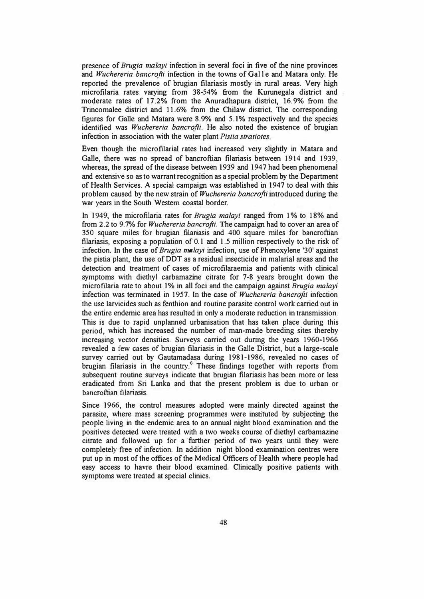presence of *Brugia malayi* infection in several foci in five of the nine provinces and *Wuchereria bancrofti* infection in the towns of Galle and Matara only. He reported the prevalence of brugian filariasis mostly in rural areas. Very high microfilaria rates varying from 38-54% from the Kurunegala district and moderate rates of 17 .2% from the Anuradhapura district, 16. 9% from the Trincomalee district and 11.6% from the Chilaw district. The corresponding figures for Galle and Matara were 8.9% and 5.1% respectively and the species identified was *Wuchereria bancrofti.* He also noted the existence of brugian infection in association with the water plant *Pistia stratiotes.* 

Even though the microfilarial rates had increased very slightly in Matara and Galle, there was no spread of bancroftian filariasis between 1914 and 1939, whereas, the spread of the disease between 1939 and 1947 had been phenomenal and extensive so as to warrant recognition as a special problem by the Department of Health Services. A special campaign was established in 1947 to deal with this problem caused by the new strain of *Wuchereria bancrofti* introduced during the war years in the South Western coastal border.

In 1949, the microfilaria rates for *Brugia malayi* ranged from 1 % to 18% and from 2.2 to 9.7% for *Wuchereria bancrofti.* The campaign had to cover an area of 350 square miles for brugian filariasis and 400 square miles for bancroftian filariasis, exposing a population of 0.1 and 1.5 million respectively to the risk of infection. In the case of *Brugia ma/ayi* infection, use of Phenoxylene '30' against the pistia plant, the use of DDT as a residual insecticide in malarial areas and the detection and treatment of cases of microfilaraemia and patients with clinical symptoms with diethyl carbamazine citrate for 7-8 years brought down the microfilaria rate to about 1% in all foci and the campaign against *Brugia malayi* infection was terminated in 1957. In the case of *Wuchereria bancrofti* infection the use larvicides such as fenthion and routine parasite control work carried out in the entire endemic area has resulted in only a moderate reduction in transmission. This is due to rapid unplanned urbanisation that has taken place during this period, which has increased the number of man-made breeding sites thereby increasing vector densities. Surveys carried out during the years 1960-1966 revealed a few cases of brugian filariasis in the Galle District, but a large-scale survey carried out by Gautamadasa during 1981-1986, revealed no cases of brugian filariasis in the country.<sup>6</sup> These findings together with reports from subsequent routine surveys indicate that brugian filariasis has been more or less eradicated from Sri Lanka and that the present problem is due to urban or bancroftian filariasis.

Since 1966, the control measures adopted were mainly directed against the parasite, where mass screening programmes were instituted by subjecting the people living in the endemic area to an annual night blood examination and the positives detected were treated with a two weeks course of diethyl carbamazine citrate and followed up for a further period of two years until they were completely free of infection. In addition night blood examination centres were put up in most of the offices of the Medical Officers of Health where people had easy access to havre their blood examined. Clinically positive patients with symptoms were treated at special clinics.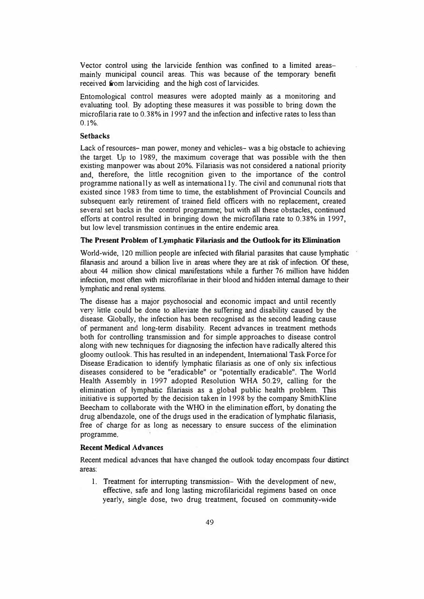Vector control using the larvicide fenthion was confined to a limited areasmainly municipal council areas. This was because of the temporary benefit received from larviciding and the high cost of larvicides.

Entomological control measures were adopted mainly as a monitoring and evaluating tool. By adopting these measures it was possible to bring down the microfilaria rate to 0.38% in 1997 and the infection and infective rates to less than 0.1%.

## **Setbacks**

Lack of resources- man power, money and vehicles- was a big obstacle to achieving the target. Up to 1989, the maximum coverage that was possible with the then existing manpower was about 20%. Filariasis was not considered a national priority and, therefore, the little recognition given to the importance of the control programme nationally as weJI as internationally. The civil and conununal riots that existed since 1983 from time to time, the establishment of Provincial Councils and subsequent early retirement of trained field officers with no replacement, created several set backs in the control programme; but with all these obstacles, continued efforts at control resulted in bringing down the microfilaria rate to 0.38% in 1997, but low level transmission continues in the entire endemic area.

### **The Present Problem of Lymphatic Filariasis and the Outlook for its Elimination**

World-wide, 120 million people are infected with filarial parasites that cause lymphatic filariasis and around a billion live in areas where they are at risk of infection. Of these, about 44 million show clinical manifestations while a further 76 million have hidden infection, most often with microfilariae in their blood and hidden internal damage to their lymphatic and renal systems.

The disease has a major psychosocial and economic impact and until recently very little could be done to alleviate the suffering and disability caused by the disease. Globally, the infection has been recognised as the second leading cause of permanent and long-term disability. Recent advances in treatment methods both for controlling transmission and for simple approaches to disease control along with new techniques for diagnosing the infection have radically altered this gloomy outlook. This has resulted in an independent, International Task Force for Disease Eradication to identify lymphatic filariasis as one of only six infectious diseases considered to be "eradicable" or "potentially eradicable". The World Health Assembly in 1997 adopted Resolution WHA 50.29, calling for the elimination of lymphatic filariasis as a global public health problem. This initiative is supported by the decision taken in 1998 by the company SmithKline Beecham to collaborate with the WHO in the elimination effort, by donating the drug albendazole, one of the drugs used in the eradication of lymphatic filariasis, free of charge for as long as necessary to ensure success of the elimination programme.

#### **Recent Medical Advances**

Recent medical advances that have changed the outlook today encompass four distinct areas:

1. Treatment for interrupting transmission- With the development of new, effective., safe and Jong lasting microfilaricidal regimens based on once yearly, single dose, two drug treatment, focused on community-wide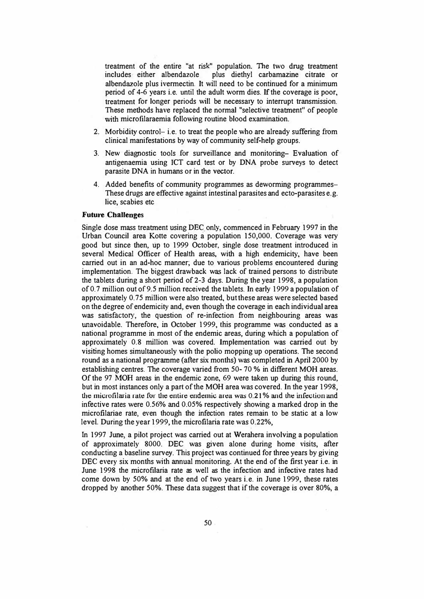treatment of the entire "at risk" population. The two drug treatment includes either albendazole plus diethyl carbamazine citrate or plus diethyl carbamazine citrate or albendazole plus ivermectin. It will need to be continued for a minimum period of 4-6 years i.e. until the adult worm dies. If the coverage is poor, treatment for longer periods will be necessary to interrupt transmission. These methods have replaced the normal "selective treatment" of people with microfilaraemia following routine blood examination.

- 2. Morbidity control- i.e. to treat the people who are already suffering from clinical manifestations by way of community self-help groups.
- 3. New diagnostic tools for surveillance and monitoring- Evaluation of antigenaemia using JCT card test or by DNA probe surveys to detect parasite DNA in humans or in the vector.
- 4. Added benefits of community programmes as deworming programmes-These drugs are effective against intestinal parasites and ecto-parasites e.g. lice, scabies etc

#### **Future Challenges**

Single dose mass treatment using DEC\_ only, commenced in February 1997 in the Urban Council area Kotte covering a population 150,000. Coverage was very good but since then, up to 1999 October, single dose treatment introduced in several Medical Officer of Health areas, with a high endemicity, have been carried out in an ad-hoc manner; due to various problems encountered during implementation. The biggest drawback was lack of trained persons to distribute the tablets during a short period of 2-3 days. During the year 1998, a population of0.7 million out of9.5 million received the tablets. In early 1999 a population of approximately 0.75 million were also treated, but these areas were selected based on the degree of endemicity and, even though the coverage in each individual area was satisfactory, the question of re-infection from neighbouring areas was unavoidable. Therefore, in October 1999, this programme was conducted as a national programme in most of the endemic areas, during which a population of approximately 0.8 million was covered. Implementation was carried out by visiting homes simultaneously with the polio mopping up operations. The second round as a national programme (after six months) was completed in April 2000 by establishing centres. The coverage varied from 50- 70 % in different MOH areas. Of the 97 **MOH** areas in the endemic zone, 69 were taken up during this round, but in most instances only a part of the MOH area was covered. In the year 1998, the microfilaria rate for the entire endemic area was 0.21% and the infection and infective rates were 0.56% and 0.05% respectively showing a marked drop in the microfilariae rate, even though the infection rates remain to be static at a low level. During the year 1999, the microfilaria rate was 0.22%,

In 1997 June, a pilot project was carried out at Werahera involving a population of approximately 8000. DEC was given alone during home visits, after conducting a baseline survey. This project was continued for three years by giving DEC every six months with annual monitoring. At the end of the first year i.e. in June 1998 the microfilaria rate as well as the infection and infective rates had come down by 50% and at the end of two years i.e. in June 1999, these rates dropped by another 50%. These data suggest that if the coverage is over 80%, a